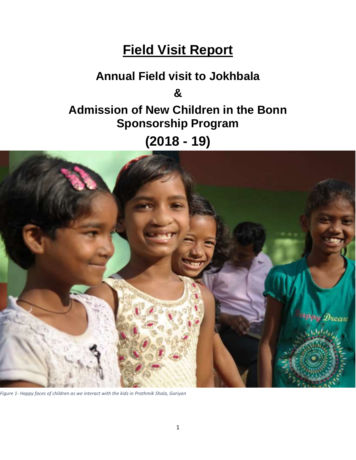# **Field Visit Report**

# **Annual Field visit to Jokhbala & Admission of New Children in the Bonn Sponsorship Program**

**(2018 - 19)**



*Figure 1- Happy faces of children as we interact with the kids in Prathmik Shala, Goriyan*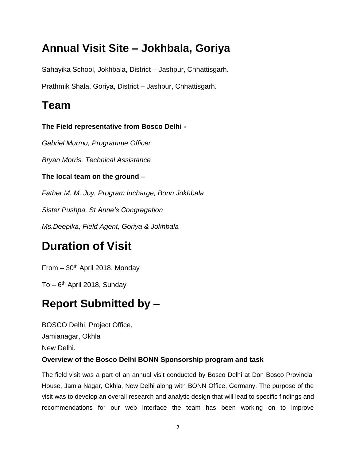## **Annual Visit Site – Jokhbala, Goriya**

Sahayika School, Jokhbala, District – Jashpur, Chhattisgarh.

Prathmik Shala, Goriya, District – Jashpur, Chhattisgarh.

## **Team**

**The Field representative from Bosco Delhi -**

*Gabriel Murmu, Programme Officer*

*Bryan Morris, Technical Assistance*

**The local team on the ground –**

*Father M. M. Joy, Program Incharge, Bonn Jokhbala*

*Sister Pushpa, St Anne's Congregation*

*Ms.Deepika, Field Agent, Goriya & Jokhbala* 

## **Duration of Visit**

From  $-30$ <sup>th</sup> April 2018, Monday

To – 6<sup>th</sup> April 2018, Sunday

## **Report Submitted by –**

BOSCO Delhi, Project Office, Jamianagar, Okhla New Delhi. **Overview of the Bosco Delhi BONN Sponsorship program and task**

The field visit was a part of an annual visit conducted by Bosco Delhi at Don Bosco Provincial House, Jamia Nagar, Okhla, New Delhi along with BONN Office, Germany. The purpose of the visit was to develop an overall research and analytic design that will lead to specific findings and recommendations for our web interface the team has been working on to improve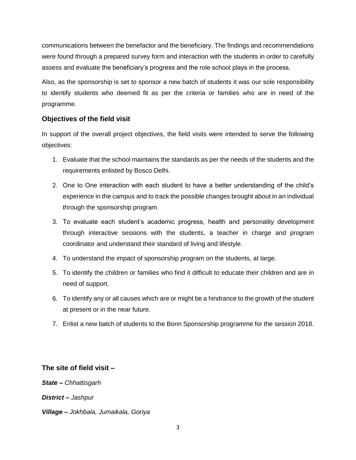communications between the benefactor and the beneficiary. The findings and recommendations were found through a prepared survey form and interaction with the students in order to carefully assess and evaluate the beneficiary's progress and the role school plays in the process.

Also, as the sponsorship is set to sponsor a new batch of students it was our sole responsibility to identify students who deemed fit as per the criteria or families who are in need of the programme.

### **Objectives of the field visit**

In support of the overall project objectives, the field visits were intended to serve the following objectives:

- 1. Evaluate that the school maintains the standards as per the needs of the students and the requirements enlisted by Bosco Delhi.
- 2. One to One interaction with each student to have a better understanding of the child's experience in the campus and to track the possible changes brought about in an individual through the sponsorship program.
- 3. To evaluate each student's academic progress, health and personality development through interactive sessions with the students, a teacher in charge and program coordinator and understand their standard of living and lifestyle.
- 4. To understand the impact of sponsorship program on the students, at large.
- 5. To identify the children or families who find it difficult to educate their children and are in need of support.
- 6. To identify any or all causes which are or might be a hindrance to the growth of the student at present or in the near future.
- 7. Enlist a new batch of students to the Bonn Sponsorship programme for the session 2018.

### **The site of field visit –**

*State – Chhattisgarh*

*District – Jashpur*

*Village – Jokhbala, Jumaikala, Goriya*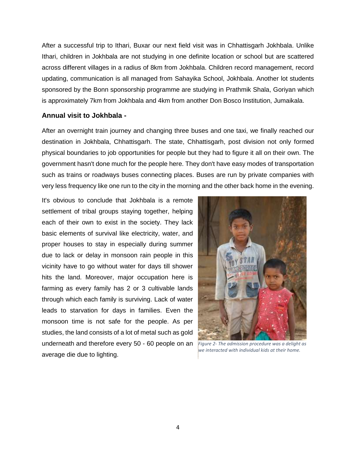After a successful trip to Ithari, Buxar our next field visit was in Chhattisgarh Jokhbala. Unlike Ithari, children in Jokhbala are not studying in one definite location or school but are scattered across different villages in a radius of 8km from Jokhbala. Children record management, record updating, communication is all managed from Sahayika School, Jokhbala. Another lot students sponsored by the Bonn sponsorship programme are studying in Prathmik Shala, Goriyan which is approximately 7km from Jokhbala and 4km from another Don Bosco Institution, Jumaikala.

#### **Annual visit to Jokhbala -**

After an overnight train journey and changing three buses and one taxi, we finally reached our destination in Jokhbala, Chhattisgarh. The state, Chhattisgarh, post division not only formed physical boundaries to job opportunities for people but they had to figure it all on their own. The government hasn't done much for the people here. They don't have easy modes of transportation such as trains or roadways buses connecting places. Buses are run by private companies with very less frequency like one run to the city in the morning and the other back home in the evening.

It's obvious to conclude that Jokhbala is a remote settlement of tribal groups staying together, helping each of their own to exist in the society. They lack basic elements of survival like electricity, water, and proper houses to stay in especially during summer due to lack or delay in monsoon rain people in this vicinity have to go without water for days till shower hits the land. Moreover, major occupation here is farming as every family has 2 or 3 cultivable lands through which each family is surviving. Lack of water leads to starvation for days in families. Even the monsoon time is not safe for the people. As per studies, the land consists of a lot of metal such as gold underneath and therefore every 50 - 60 people on an *Figure 2- The admission procedure was a delight as*  average die due to lighting.



*we interacted with individual kids at their home.*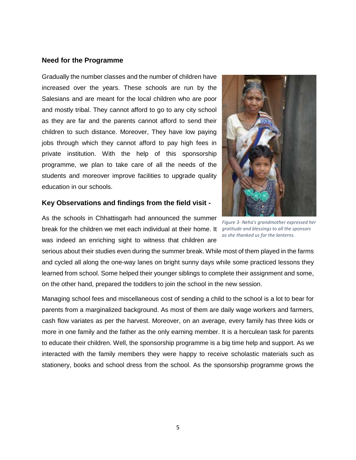#### **Need for the Programme**

Gradually the number classes and the number of children have increased over the years. These schools are run by the Salesians and are meant for the local children who are poor and mostly tribal. They cannot afford to go to any city school as they are far and the parents cannot afford to send their children to such distance. Moreover, They have low paying jobs through which they cannot afford to pay high fees in private institution. With the help of this sponsorship programme, we plan to take care of all the needs of the students and moreover improve facilities to upgrade quality education in our schools.

#### **Key Observations and findings from the field visit -**

As the schools in Chhattisgarh had announced the summer break for the children we met each individual at their home. It *gratitude and blessings to all the sponsors*  was indeed an enriching sight to witness that children are

serious about their studies even during the summer break. While most of them played in the farms and cycled all along the one-way lanes on bright sunny days while some practiced lessons they learned from school. Some helped their younger siblings to complete their assignment and some, on the other hand, prepared the toddlers to join the school in the new session.

Managing school fees and miscellaneous cost of sending a child to the school is a lot to bear for parents from a marginalized background. As most of them are daily wage workers and farmers, cash flow variates as per the harvest. Moreover, on an average, every family has three kids or more in one family and the father as the only earning member. It is a herculean task for parents to educate their children. Well, the sponsorship programme is a big time help and support. As we interacted with the family members they were happy to receive scholastic materials such as stationery, books and school dress from the school. As the sponsorship programme grows the



*Figure 3- Neha's grandmother expressed her as she thanked us for the lanterns.*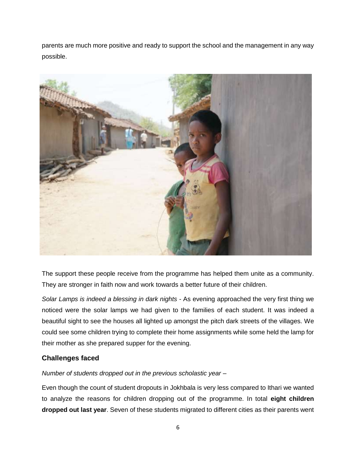parents are much more positive and ready to support the school and the management in any way possible.



The support these people receive from the programme has helped them unite as a community. They are stronger in faith now and work towards a better future of their children.

*Solar Lamps is indeed a blessing in dark nights -* As evening approached the very first thing we noticed were the solar lamps we had given to the families of each student. It was indeed a beautiful sight to see the houses all lighted up amongst the pitch dark streets of the villages. We could see some children trying to complete their home assignments while some held the lamp for their mother as she prepared supper for the evening.

### **Challenges faced**

### *Number of students dropped out in the previous scholastic year –*

Even though the count of student dropouts in Jokhbala is very less compared to Ithari we wanted to analyze the reasons for children dropping out of the programme. In total **eight children dropped out last year**. Seven of these students migrated to different cities as their parents went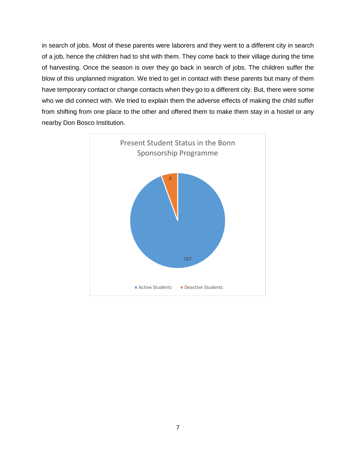in search of jobs. Most of these parents were laborers and they went to a different city in search of a job, hence the children had to shit with them. They come back to their village during the time of harvesting. Once the season is over they go back in search of jobs. The children suffer the blow of this unplanned migration. We tried to get in contact with these parents but many of them have temporary contact or change contacts when they go to a different city. But, there were some who we did connect with. We tried to explain them the adverse effects of making the child suffer from shifting from one place to the other and offered them to make them stay in a hostel or any nearby Don Bosco Institution.

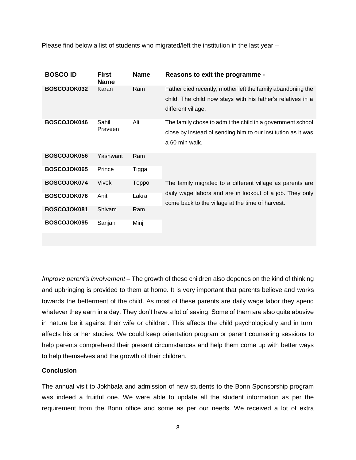Please find below a list of students who migrated/left the institution in the last year –

| <b>BOSCO ID</b> | <b>First</b><br><b>Name</b> | <b>Name</b>  | Reasons to exit the programme -                                                                                                                                           |
|-----------------|-----------------------------|--------------|---------------------------------------------------------------------------------------------------------------------------------------------------------------------------|
| BOSCOJOK032     | Karan                       | Ram          | Father died recently, mother left the family abandoning the<br>child. The child now stays with his father's relatives in a<br>different village.                          |
| BOSCOJOK046     | Sahil<br>Praveen            | Ali          | The family chose to admit the child in a government school<br>close by instead of sending him to our institution as it was<br>a 60 min walk.                              |
| BOSCOJOK056     | Yashwant                    | Ram          |                                                                                                                                                                           |
| BOSCOJOK065     | Prince                      | Tigga        |                                                                                                                                                                           |
| BOSCOJOK074     | Vivek                       | <b>Toppo</b> | The family migrated to a different village as parents are<br>daily wage labors and are in lookout of a job. They only<br>come back to the village at the time of harvest. |
| BOSCOJOK076     | Anit                        | Lakra        |                                                                                                                                                                           |
| BOSCOJOK081     | Shivam                      | Ram          |                                                                                                                                                                           |
| BOSCOJOK095     | Sanjan                      | Minj         |                                                                                                                                                                           |

*Improve parent's involvement –* The growth of these children also depends on the kind of thinking and upbringing is provided to them at home. It is very important that parents believe and works towards the betterment of the child. As most of these parents are daily wage labor they spend whatever they earn in a day. They don't have a lot of saving. Some of them are also quite abusive in nature be it against their wife or children. This affects the child psychologically and in turn, affects his or her studies. We could keep orientation program or parent counseling sessions to help parents comprehend their present circumstances and help them come up with better ways to help themselves and the growth of their children.

#### **Conclusion**

The annual visit to Jokhbala and admission of new students to the Bonn Sponsorship program was indeed a fruitful one. We were able to update all the student information as per the requirement from the Bonn office and some as per our needs. We received a lot of extra